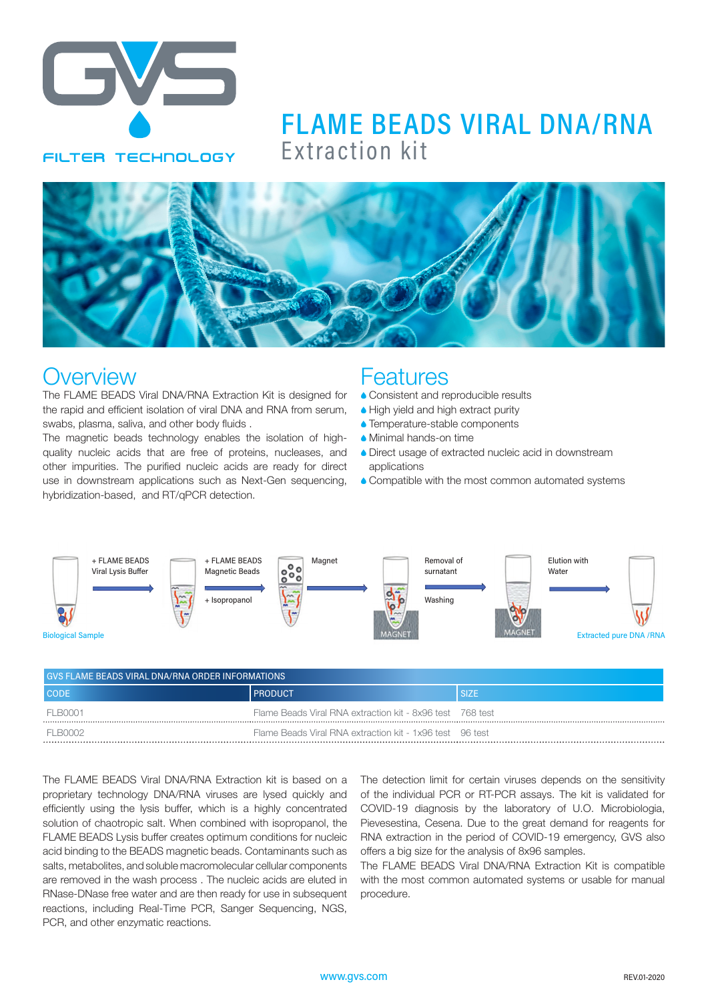

# Extraction kit FLAME BEADS VIRAL DNA/RNA



### **Overview**

The FLAME BEADS Viral DNA/RNA Extraction Kit is designed for the rapid and efficient isolation of viral DNA and RNA from serum, swabs, plasma, saliva, and other body fluids .

The magnetic beads technology enables the isolation of highquality nucleic acids that are free of proteins, nucleases, and other impurities. The purified nucleic acids are ready for direct use in downstream applications such as Next-Gen sequencing, hybridization-based, and RT/qPCR detection.

### **Features**

- **Consistent and reproducible results**
- High yield and high extract purity
- Temperature-stable components
- A Minimal hands-on time
- A Direct usage of extracted nucleic acid in downstream applications
- **Compatible with the most common automated systems**



| <b>GVS FLAME BEADS VIRAL DNA/RNA ORDER INFORMATIONS</b> |                                                           |             |  |  |  |
|---------------------------------------------------------|-----------------------------------------------------------|-------------|--|--|--|
| <b>CODE</b>                                             | <b>PRODUCT</b>                                            | <b>SIZE</b> |  |  |  |
| FI BOOO1                                                | Flame Beads Viral RNA extraction kit - 8x96 test 768 test |             |  |  |  |
| FI B0002                                                | Flame Beads Viral RNA extraction kit - 1x96 test 96 test  |             |  |  |  |

The FLAME BEADS Viral DNA/RNA Extraction kit is based on a proprietary technology DNA/RNA viruses are lysed quickly and efficiently using the lysis buffer, which is a highly concentrated solution of chaotropic salt. When combined with isopropanol, the FLAME BEADS Lysis buffer creates optimum conditions for nucleic acid binding to the BEADS magnetic beads. Contaminants such as salts, metabolites, and soluble macromolecular cellular components are removed in the wash process . The nucleic acids are eluted in RNase-DNase free water and are then ready for use in subsequent reactions, including Real-Time PCR, Sanger Sequencing, NGS, PCR, and other enzymatic reactions.

The detection limit for certain viruses depends on the sensitivity of the individual PCR or RT-PCR assays. The kit is validated for COVID-19 diagnosis by the laboratory of U.O. Microbiologia, Pievesestina, Cesena. Due to the great demand for reagents for RNA extraction in the period of COVID-19 emergency, GVS also offers a big size for the analysis of 8x96 samples.

The FLAME BEADS Viral DNA/RNA Extraction Kit is compatible with the most common automated systems or usable for manual procedure.